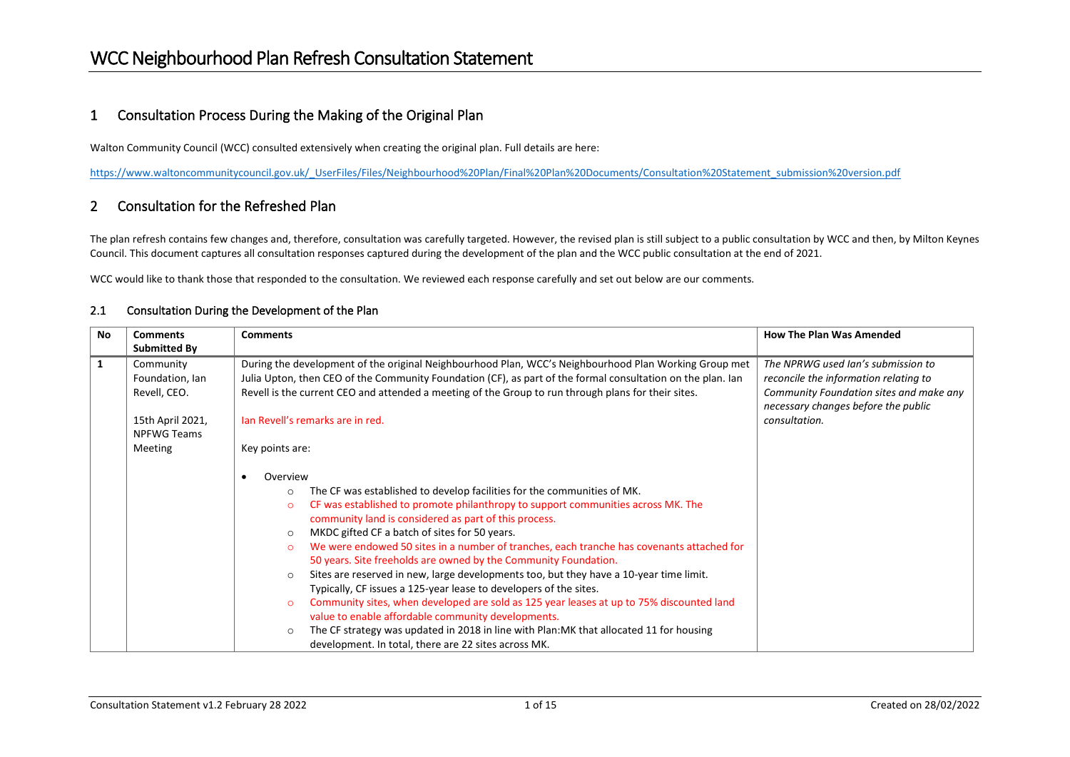#### 1 Consultation Process During the Making of the Original Plan

Walton Community Council (WCC) consulted extensively when creating the original plan. Full details are here:

[https://www.waltoncommunitycouncil.gov.uk/\\_UserFiles/Files/Neighbourhood%20Plan/Final%20Plan%20Documents/Consultation%20Statement\\_submission%20version.pdf](https://www.waltoncommunitycouncil.gov.uk/_UserFiles/Files/Neighbourhood%20Plan/Final%20Plan%20Documents/Consultation%20Statement_submission%20version.pdf)

#### 2 Consultation for the Refreshed Plan

The plan refresh contains few changes and, therefore, consultation was carefully targeted. However, the revised plan is still subject to a public consultation by WCC and then, by Milton Keynes Council. This document captures all consultation responses captured during the development of the plan and the WCC public consultation at the end of 2021.

WCC would like to thank those that responded to the consultation. We reviewed each response carefully and set out below are our comments.

| <b>No</b>    | <b>Comments</b>                              | <b>Comments</b>                                                                                                                                                                                                                                                                                                                                                                                                                                                                                                                                                                                                                                                                                                                                                                                                                                                                                                                                                                                     | <b>How The Plan Was Amended</b>                                                                                                                               |
|--------------|----------------------------------------------|-----------------------------------------------------------------------------------------------------------------------------------------------------------------------------------------------------------------------------------------------------------------------------------------------------------------------------------------------------------------------------------------------------------------------------------------------------------------------------------------------------------------------------------------------------------------------------------------------------------------------------------------------------------------------------------------------------------------------------------------------------------------------------------------------------------------------------------------------------------------------------------------------------------------------------------------------------------------------------------------------------|---------------------------------------------------------------------------------------------------------------------------------------------------------------|
|              | Submitted By                                 |                                                                                                                                                                                                                                                                                                                                                                                                                                                                                                                                                                                                                                                                                                                                                                                                                                                                                                                                                                                                     |                                                                                                                                                               |
| $\mathbf{1}$ | Community<br>Foundation, Ian<br>Revell, CEO. | During the development of the original Neighbourhood Plan, WCC's Neighbourhood Plan Working Group met<br>Julia Upton, then CEO of the Community Foundation (CF), as part of the formal consultation on the plan. Ian<br>Revell is the current CEO and attended a meeting of the Group to run through plans for their sites.                                                                                                                                                                                                                                                                                                                                                                                                                                                                                                                                                                                                                                                                         | The NPRWG used Ian's submission to<br>reconcile the information relating to<br>Community Foundation sites and make any<br>necessary changes before the public |
|              | 15th April 2021,<br><b>NPFWG Teams</b>       | lan Revell's remarks are in red.                                                                                                                                                                                                                                                                                                                                                                                                                                                                                                                                                                                                                                                                                                                                                                                                                                                                                                                                                                    | consultation.                                                                                                                                                 |
|              | Meeting                                      | Key points are:                                                                                                                                                                                                                                                                                                                                                                                                                                                                                                                                                                                                                                                                                                                                                                                                                                                                                                                                                                                     |                                                                                                                                                               |
|              |                                              | Overview<br>The CF was established to develop facilities for the communities of MK.<br>$\circ$<br>CF was established to promote philanthropy to support communities across MK. The<br>$\circ$<br>community land is considered as part of this process.<br>MKDC gifted CF a batch of sites for 50 years.<br>$\circ$<br>We were endowed 50 sites in a number of tranches, each tranche has covenants attached for<br>$\Omega$<br>50 years. Site freeholds are owned by the Community Foundation.<br>Sites are reserved in new, large developments too, but they have a 10-year time limit.<br>$\circ$<br>Typically, CF issues a 125-year lease to developers of the sites.<br>Community sites, when developed are sold as 125 year leases at up to 75% discounted land<br>$\circ$<br>value to enable affordable community developments.<br>The CF strategy was updated in 2018 in line with Plan: MK that allocated 11 for housing<br>$\circ$<br>development. In total, there are 22 sites across MK. |                                                                                                                                                               |

#### 2.1 Consultation During the Development of the Plan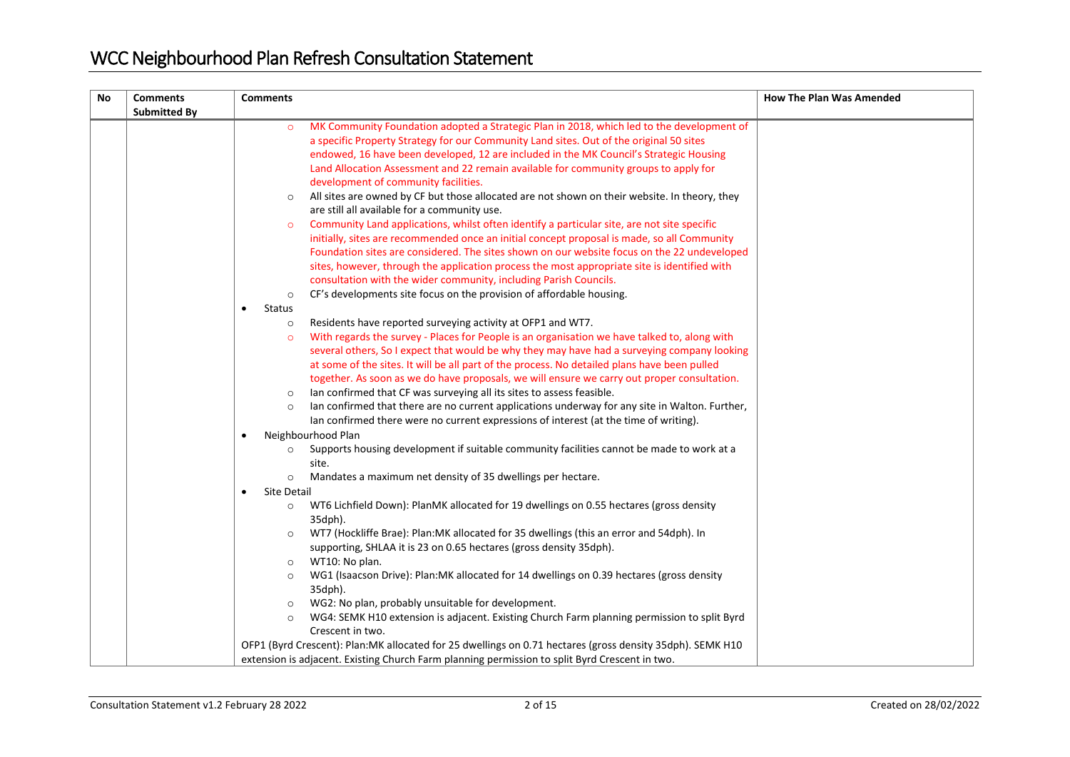| <b>No</b> | <b>Comments</b>     | <b>Comments</b>                                                                                              | <b>How The Plan Was Amended</b> |
|-----------|---------------------|--------------------------------------------------------------------------------------------------------------|---------------------------------|
|           | <b>Submitted By</b> |                                                                                                              |                                 |
|           |                     | MK Community Foundation adopted a Strategic Plan in 2018, which led to the development of<br>$\circ$         |                                 |
|           |                     | a specific Property Strategy for our Community Land sites. Out of the original 50 sites                      |                                 |
|           |                     | endowed, 16 have been developed, 12 are included in the MK Council's Strategic Housing                       |                                 |
|           |                     | Land Allocation Assessment and 22 remain available for community groups to apply for                         |                                 |
|           |                     | development of community facilities.                                                                         |                                 |
|           |                     | All sites are owned by CF but those allocated are not shown on their website. In theory, they<br>$\circ$     |                                 |
|           |                     | are still all available for a community use.                                                                 |                                 |
|           |                     | Community Land applications, whilst often identify a particular site, are not site specific                  |                                 |
|           |                     | initially, sites are recommended once an initial concept proposal is made, so all Community                  |                                 |
|           |                     | Foundation sites are considered. The sites shown on our website focus on the 22 undeveloped                  |                                 |
|           |                     | sites, however, through the application process the most appropriate site is identified with                 |                                 |
|           |                     | consultation with the wider community, including Parish Councils.                                            |                                 |
|           |                     | CF's developments site focus on the provision of affordable housing.<br>$\circ$                              |                                 |
|           |                     | <b>Status</b>                                                                                                |                                 |
|           |                     | Residents have reported surveying activity at OFP1 and WT7.<br>$\circ$                                       |                                 |
|           |                     | With regards the survey - Places for People is an organisation we have talked to, along with<br>$\circ$      |                                 |
|           |                     | several others, So I expect that would be why they may have had a surveying company looking                  |                                 |
|           |                     | at some of the sites. It will be all part of the process. No detailed plans have been pulled                 |                                 |
|           |                     | together. As soon as we do have proposals, we will ensure we carry out proper consultation.                  |                                 |
|           |                     | Ian confirmed that CF was surveying all its sites to assess feasible.<br>$\circ$                             |                                 |
|           |                     | lan confirmed that there are no current applications underway for any site in Walton. Further,<br>$\circ$    |                                 |
|           |                     | lan confirmed there were no current expressions of interest (at the time of writing).                        |                                 |
|           |                     | Neighbourhood Plan<br>٠                                                                                      |                                 |
|           |                     | Supports housing development if suitable community facilities cannot be made to work at a<br>$\circ$         |                                 |
|           |                     | site.                                                                                                        |                                 |
|           |                     | Mandates a maximum net density of 35 dwellings per hectare.<br>$\circ$                                       |                                 |
|           |                     | Site Detail                                                                                                  |                                 |
|           |                     | WT6 Lichfield Down): PlanMK allocated for 19 dwellings on 0.55 hectares (gross density<br>$\circ$<br>35dph). |                                 |
|           |                     | WT7 (Hockliffe Brae): Plan:MK allocated for 35 dwellings (this an error and 54dph). In<br>$\circ$            |                                 |
|           |                     | supporting, SHLAA it is 23 on 0.65 hectares (gross density 35dph).                                           |                                 |
|           |                     | WT10: No plan.<br>$\circ$                                                                                    |                                 |
|           |                     | WG1 (Isaacson Drive): Plan: MK allocated for 14 dwellings on 0.39 hectares (gross density<br>$\circ$         |                                 |
|           |                     | 35dph).                                                                                                      |                                 |
|           |                     | WG2: No plan, probably unsuitable for development.<br>$\circ$                                                |                                 |
|           |                     | WG4: SEMK H10 extension is adjacent. Existing Church Farm planning permission to split Byrd<br>$\circ$       |                                 |
|           |                     | Crescent in two.                                                                                             |                                 |
|           |                     | OFP1 (Byrd Crescent): Plan: MK allocated for 25 dwellings on 0.71 hectares (gross density 35dph). SEMK H10   |                                 |
|           |                     | extension is adjacent. Existing Church Farm planning permission to split Byrd Crescent in two.               |                                 |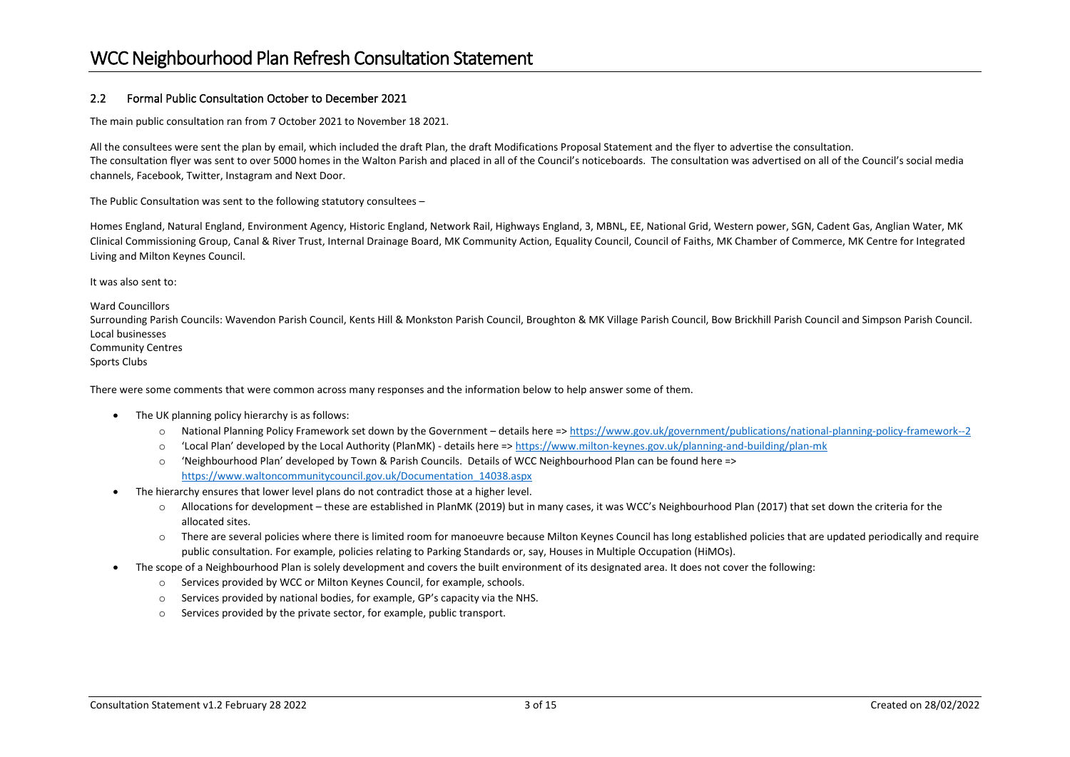#### 2.2 Formal Public Consultation October to December 2021

The main public consultation ran from 7 October 2021 to November 18 2021.

All the consultees were sent the plan by email, which included the draft Plan, the draft Modifications Proposal Statement and the flyer to advertise the consultation. The consultation flyer was sent to over 5000 homes in the Walton Parish and placed in all of the Council's noticeboards. The consultation was advertised on all of the Council's social media channels, Facebook, Twitter, Instagram and Next Door.

The Public Consultation was sent to the following statutory consultees –

Homes England, Natural England, Environment Agency, Historic England, Network Rail, Highways England, 3, MBNL, EE, National Grid, Western power, SGN, Cadent Gas, Anglian Water, MK Clinical Commissioning Group, Canal & River Trust, Internal Drainage Board, MK Community Action, Equality Council, Council of Faiths, MK Chamber of Commerce, MK Centre for Integrated Living and Milton Keynes Council.

It was also sent to:

Ward Councillors

Surrounding Parish Councils: Wavendon Parish Council, Kents Hill & Monkston Parish Council, Broughton & MK Village Parish Council, Bow Brickhill Parish Council and Simpson Parish Council. Local businesses Community Centres

Sports Clubs

There were some comments that were common across many responses and the information below to help answer some of them.

- The UK planning policy hierarchy is as follows:
	- o National Planning Policy Framework set down by the Government details here =[> https://www.gov.uk/government/publications/national-planning-policy-framework--2](https://www.gov.uk/government/publications/national-planning-policy-framework--2)
	- o 'Local Plan' developed by the Local Authority (PlanMK) details here =[> https://www.milton-keynes.gov.uk/planning-and-building/plan-mk](https://www.milton-keynes.gov.uk/planning-and-building/plan-mk)
	- $\circ$  'Neighbourhood Plan' developed by Town & Parish Councils. Details of WCC Neighbourhood Plan can be found here => [https://www.waltoncommunitycouncil.gov.uk/Documentation\\_14038.aspx](https://www.waltoncommunitycouncil.gov.uk/Documentation_14038.aspx)
- The hierarchy ensures that lower level plans do not contradict those at a higher level.
	- o Allocations for development these are established in PlanMK (2019) but in many cases, it was WCC's Neighbourhood Plan (2017) that set down the criteria for the allocated sites.
	- $\circ$  There are several policies where there is limited room for manoeuvre because Milton Keynes Council has long established policies that are updated periodically and require public consultation. For example, policies relating to Parking Standards or, say, Houses in Multiple Occupation (HiMOs).
- The scope of a Neighbourhood Plan is solely development and covers the built environment of its designated area. It does not cover the following:
	- o Services provided by WCC or Milton Keynes Council, for example, schools.
	- o Services provided by national bodies, for example, GP's capacity via the NHS.
	- o Services provided by the private sector, for example, public transport.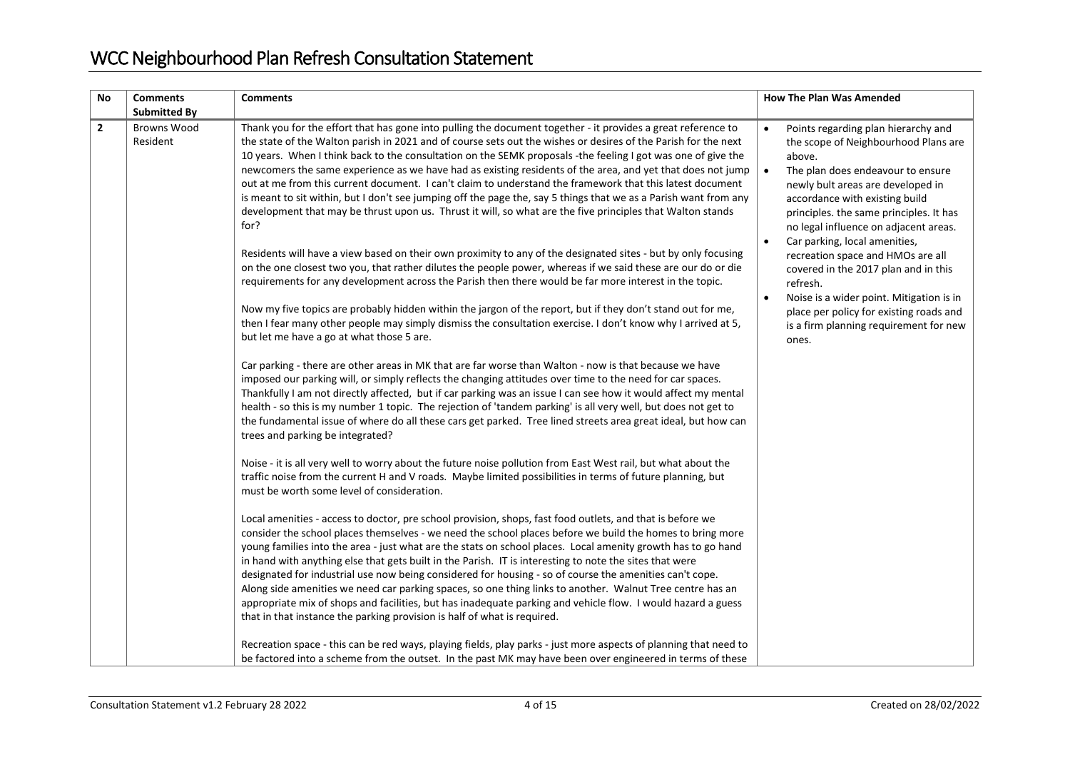| No           | <b>Comments</b>                                       | <b>Comments</b>                                                                                                                                                                                                                                                                                                                                                                                                                                                                                                                                                                                                                                                                                                                                                                                                                                                                                                                                                                                                                                                                                                                                                                                                                                                                                                                                                                                                                                                                                                                                                                                                                                                                                                                                                                                                                                                                                                                                                                                                                                                                                                                                                                                                                                                                                                                                                                                                                                                                                                                                                                                                                                                                                                                                                                                                                                                                                                                                                                                                                                                                                                                      | <b>How The Plan Was Amended</b>                                                                                                                                                                                                                                                                                                                                                                                                                                                                                                                                                                  |
|--------------|-------------------------------------------------------|--------------------------------------------------------------------------------------------------------------------------------------------------------------------------------------------------------------------------------------------------------------------------------------------------------------------------------------------------------------------------------------------------------------------------------------------------------------------------------------------------------------------------------------------------------------------------------------------------------------------------------------------------------------------------------------------------------------------------------------------------------------------------------------------------------------------------------------------------------------------------------------------------------------------------------------------------------------------------------------------------------------------------------------------------------------------------------------------------------------------------------------------------------------------------------------------------------------------------------------------------------------------------------------------------------------------------------------------------------------------------------------------------------------------------------------------------------------------------------------------------------------------------------------------------------------------------------------------------------------------------------------------------------------------------------------------------------------------------------------------------------------------------------------------------------------------------------------------------------------------------------------------------------------------------------------------------------------------------------------------------------------------------------------------------------------------------------------------------------------------------------------------------------------------------------------------------------------------------------------------------------------------------------------------------------------------------------------------------------------------------------------------------------------------------------------------------------------------------------------------------------------------------------------------------------------------------------------------------------------------------------------------------------------------------------------------------------------------------------------------------------------------------------------------------------------------------------------------------------------------------------------------------------------------------------------------------------------------------------------------------------------------------------------------------------------------------------------------------------------------------------------|--------------------------------------------------------------------------------------------------------------------------------------------------------------------------------------------------------------------------------------------------------------------------------------------------------------------------------------------------------------------------------------------------------------------------------------------------------------------------------------------------------------------------------------------------------------------------------------------------|
| $\mathbf{2}$ | <b>Submitted By</b><br><b>Browns Wood</b><br>Resident | Thank you for the effort that has gone into pulling the document together - it provides a great reference to<br>the state of the Walton parish in 2021 and of course sets out the wishes or desires of the Parish for the next<br>10 years. When I think back to the consultation on the SEMK proposals -the feeling I got was one of give the<br>newcomers the same experience as we have had as existing residents of the area, and yet that does not jump<br>out at me from this current document. I can't claim to understand the framework that this latest document<br>is meant to sit within, but I don't see jumping off the page the, say 5 things that we as a Parish want from any<br>development that may be thrust upon us. Thrust it will, so what are the five principles that Walton stands<br>for?<br>Residents will have a view based on their own proximity to any of the designated sites - but by only focusing<br>on the one closest two you, that rather dilutes the people power, whereas if we said these are our do or die<br>requirements for any development across the Parish then there would be far more interest in the topic.<br>Now my five topics are probably hidden within the jargon of the report, but if they don't stand out for me,<br>then I fear many other people may simply dismiss the consultation exercise. I don't know why I arrived at 5,<br>but let me have a go at what those 5 are.<br>Car parking - there are other areas in MK that are far worse than Walton - now is that because we have<br>imposed our parking will, or simply reflects the changing attitudes over time to the need for car spaces.<br>Thankfully I am not directly affected, but if car parking was an issue I can see how it would affect my mental<br>health - so this is my number 1 topic. The rejection of 'tandem parking' is all very well, but does not get to<br>the fundamental issue of where do all these cars get parked. Tree lined streets area great ideal, but how can<br>trees and parking be integrated?<br>Noise - it is all very well to worry about the future noise pollution from East West rail, but what about the<br>traffic noise from the current H and V roads. Maybe limited possibilities in terms of future planning, but<br>must be worth some level of consideration.<br>Local amenities - access to doctor, pre school provision, shops, fast food outlets, and that is before we<br>consider the school places themselves - we need the school places before we build the homes to bring more<br>young families into the area - just what are the stats on school places. Local amenity growth has to go hand<br>in hand with anything else that gets built in the Parish. IT is interesting to note the sites that were<br>designated for industrial use now being considered for housing - so of course the amenities can't cope.<br>Along side amenities we need car parking spaces, so one thing links to another. Walnut Tree centre has an<br>appropriate mix of shops and facilities, but has inadequate parking and vehicle flow. I would hazard a guess | Points regarding plan hierarchy and<br>$\bullet$<br>the scope of Neighbourhood Plans are<br>above.<br>$\bullet$<br>The plan does endeavour to ensure<br>newly bult areas are developed in<br>accordance with existing build<br>principles. the same principles. It has<br>no legal influence on adjacent areas.<br>Car parking, local amenities,<br>recreation space and HMOs are all<br>covered in the 2017 plan and in this<br>refresh.<br>Noise is a wider point. Mitigation is in<br>$\bullet$<br>place per policy for existing roads and<br>is a firm planning requirement for new<br>ones. |
|              |                                                       | that in that instance the parking provision is half of what is required.<br>Recreation space - this can be red ways, playing fields, play parks - just more aspects of planning that need to<br>be factored into a scheme from the outset. In the past MK may have been over engineered in terms of these                                                                                                                                                                                                                                                                                                                                                                                                                                                                                                                                                                                                                                                                                                                                                                                                                                                                                                                                                                                                                                                                                                                                                                                                                                                                                                                                                                                                                                                                                                                                                                                                                                                                                                                                                                                                                                                                                                                                                                                                                                                                                                                                                                                                                                                                                                                                                                                                                                                                                                                                                                                                                                                                                                                                                                                                                            |                                                                                                                                                                                                                                                                                                                                                                                                                                                                                                                                                                                                  |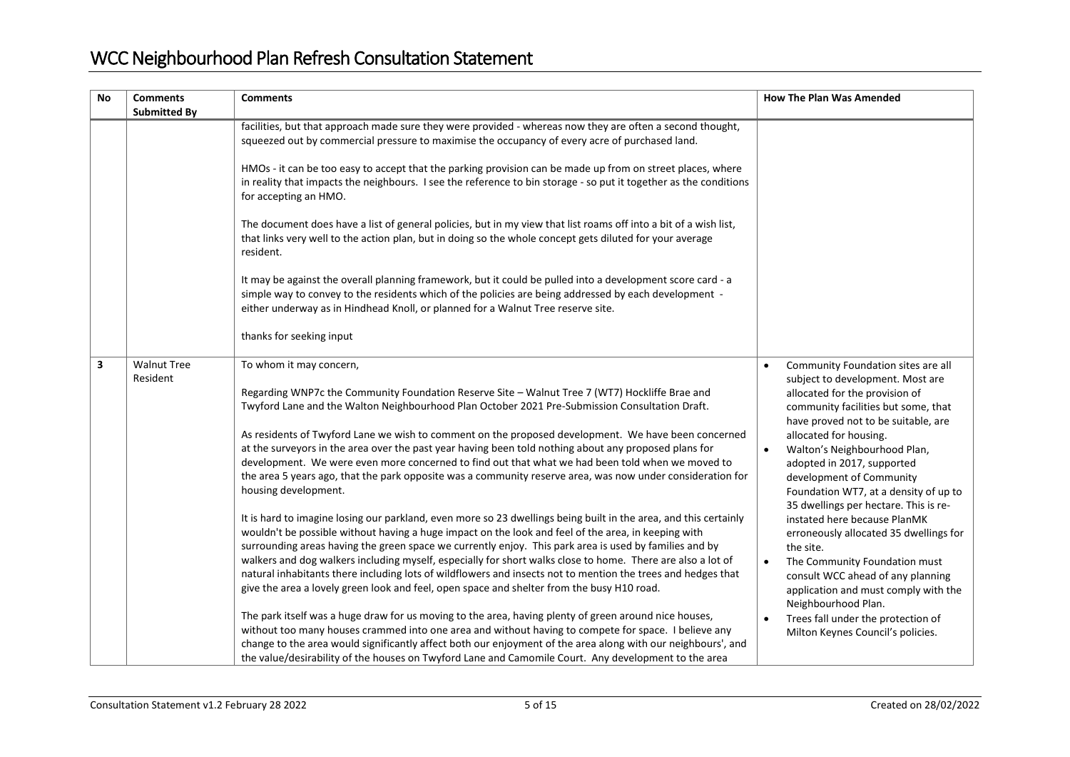| <b>No</b> | <b>Comments</b><br><b>Submitted By</b> | <b>Comments</b>                                                                                                                                                                                                                                                                                                                                                                                                                                                                                                                                                                                                                                                                                                                                                                                                                                                                                                                                                                                                                                                                                                                                                                                                                                                                                                                                                                                                                                                                                                                                                                                                                                                                                                                                                                                  | <b>How The Plan Was Amended</b>                                                                                                                                                                                                                                                                                                                                                                                                                                                                                                                                                                                                                                                                                  |
|-----------|----------------------------------------|--------------------------------------------------------------------------------------------------------------------------------------------------------------------------------------------------------------------------------------------------------------------------------------------------------------------------------------------------------------------------------------------------------------------------------------------------------------------------------------------------------------------------------------------------------------------------------------------------------------------------------------------------------------------------------------------------------------------------------------------------------------------------------------------------------------------------------------------------------------------------------------------------------------------------------------------------------------------------------------------------------------------------------------------------------------------------------------------------------------------------------------------------------------------------------------------------------------------------------------------------------------------------------------------------------------------------------------------------------------------------------------------------------------------------------------------------------------------------------------------------------------------------------------------------------------------------------------------------------------------------------------------------------------------------------------------------------------------------------------------------------------------------------------------------|------------------------------------------------------------------------------------------------------------------------------------------------------------------------------------------------------------------------------------------------------------------------------------------------------------------------------------------------------------------------------------------------------------------------------------------------------------------------------------------------------------------------------------------------------------------------------------------------------------------------------------------------------------------------------------------------------------------|
|           |                                        | facilities, but that approach made sure they were provided - whereas now they are often a second thought,<br>squeezed out by commercial pressure to maximise the occupancy of every acre of purchased land.<br>HMOs - it can be too easy to accept that the parking provision can be made up from on street places, where<br>in reality that impacts the neighbours. I see the reference to bin storage - so put it together as the conditions<br>for accepting an HMO.<br>The document does have a list of general policies, but in my view that list roams off into a bit of a wish list,<br>that links very well to the action plan, but in doing so the whole concept gets diluted for your average<br>resident.<br>It may be against the overall planning framework, but it could be pulled into a development score card - a<br>simple way to convey to the residents which of the policies are being addressed by each development -<br>either underway as in Hindhead Knoll, or planned for a Walnut Tree reserve site.<br>thanks for seeking input                                                                                                                                                                                                                                                                                                                                                                                                                                                                                                                                                                                                                                                                                                                                      |                                                                                                                                                                                                                                                                                                                                                                                                                                                                                                                                                                                                                                                                                                                  |
| 3         | <b>Walnut Tree</b><br>Resident         | To whom it may concern,<br>Regarding WNP7c the Community Foundation Reserve Site - Walnut Tree 7 (WT7) Hockliffe Brae and<br>Twyford Lane and the Walton Neighbourhood Plan October 2021 Pre-Submission Consultation Draft.<br>As residents of Twyford Lane we wish to comment on the proposed development. We have been concerned<br>at the surveyors in the area over the past year having been told nothing about any proposed plans for<br>development. We were even more concerned to find out that what we had been told when we moved to<br>the area 5 years ago, that the park opposite was a community reserve area, was now under consideration for<br>housing development.<br>It is hard to imagine losing our parkland, even more so 23 dwellings being built in the area, and this certainly<br>wouldn't be possible without having a huge impact on the look and feel of the area, in keeping with<br>surrounding areas having the green space we currently enjoy. This park area is used by families and by<br>walkers and dog walkers including myself, especially for short walks close to home. There are also a lot of<br>natural inhabitants there including lots of wildflowers and insects not to mention the trees and hedges that<br>give the area a lovely green look and feel, open space and shelter from the busy H10 road.<br>The park itself was a huge draw for us moving to the area, having plenty of green around nice houses,<br>without too many houses crammed into one area and without having to compete for space. I believe any<br>change to the area would significantly affect both our enjoyment of the area along with our neighbours', and<br>the value/desirability of the houses on Twyford Lane and Camomile Court. Any development to the area | Community Foundation sites are all<br>subject to development. Most are<br>allocated for the provision of<br>community facilities but some, that<br>have proved not to be suitable, are<br>allocated for housing.<br>Walton's Neighbourhood Plan,<br>adopted in 2017, supported<br>development of Community<br>Foundation WT7, at a density of up to<br>35 dwellings per hectare. This is re-<br>instated here because PlanMK<br>erroneously allocated 35 dwellings for<br>the site.<br>The Community Foundation must<br>$\bullet$<br>consult WCC ahead of any planning<br>application and must comply with the<br>Neighbourhood Plan.<br>Trees fall under the protection of<br>Milton Keynes Council's policies. |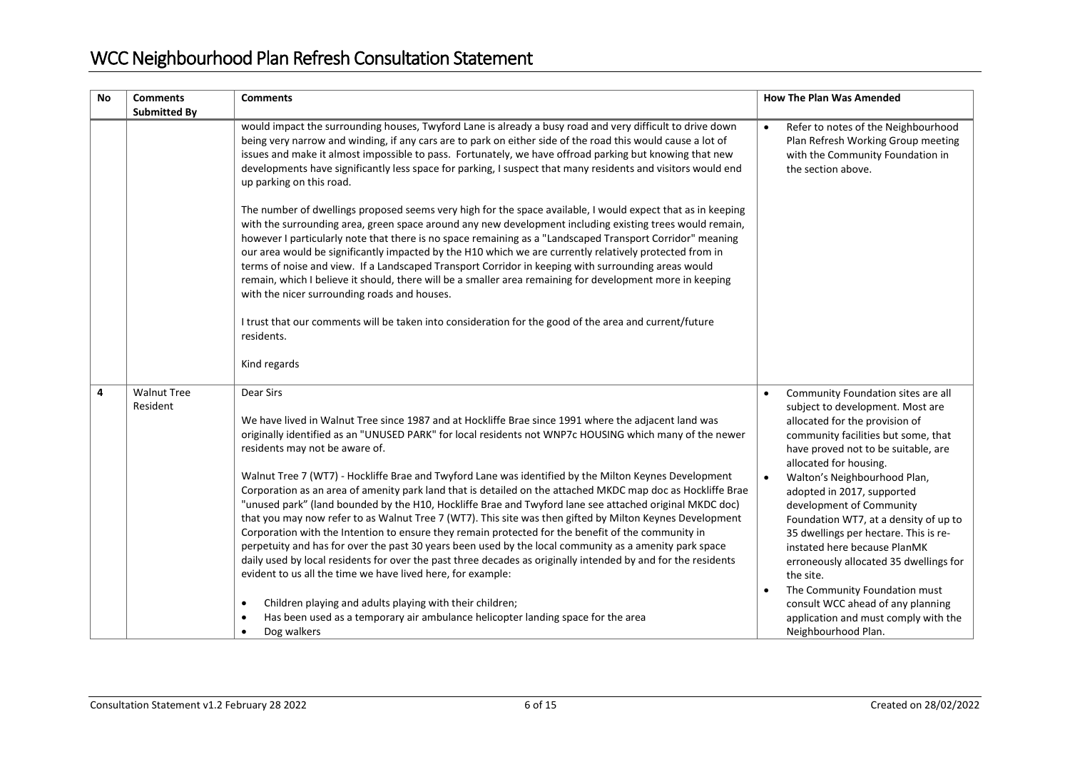| <b>No</b> | <b>Comments</b><br><b>Submitted By</b> | <b>Comments</b>                                                                                                                                                                                                                                                                                                                                                                                                                                                                                                                                                                                                                                                                                                                                                                                                                                                                                                                                                                                                                                                                                                                                                                        | <b>How The Plan Was Amended</b>                                                                                                                                                                                                                                                                                                                                                                                                                                                                                                                           |
|-----------|----------------------------------------|----------------------------------------------------------------------------------------------------------------------------------------------------------------------------------------------------------------------------------------------------------------------------------------------------------------------------------------------------------------------------------------------------------------------------------------------------------------------------------------------------------------------------------------------------------------------------------------------------------------------------------------------------------------------------------------------------------------------------------------------------------------------------------------------------------------------------------------------------------------------------------------------------------------------------------------------------------------------------------------------------------------------------------------------------------------------------------------------------------------------------------------------------------------------------------------|-----------------------------------------------------------------------------------------------------------------------------------------------------------------------------------------------------------------------------------------------------------------------------------------------------------------------------------------------------------------------------------------------------------------------------------------------------------------------------------------------------------------------------------------------------------|
|           |                                        | would impact the surrounding houses, Twyford Lane is already a busy road and very difficult to drive down<br>being very narrow and winding, if any cars are to park on either side of the road this would cause a lot of<br>issues and make it almost impossible to pass. Fortunately, we have offroad parking but knowing that new<br>developments have significantly less space for parking, I suspect that many residents and visitors would end<br>up parking on this road.                                                                                                                                                                                                                                                                                                                                                                                                                                                                                                                                                                                                                                                                                                        | Refer to notes of the Neighbourhood<br>Plan Refresh Working Group meeting<br>with the Community Foundation in<br>the section above.                                                                                                                                                                                                                                                                                                                                                                                                                       |
|           |                                        | The number of dwellings proposed seems very high for the space available, I would expect that as in keeping<br>with the surrounding area, green space around any new development including existing trees would remain,<br>however I particularly note that there is no space remaining as a "Landscaped Transport Corridor" meaning<br>our area would be significantly impacted by the H10 which we are currently relatively protected from in<br>terms of noise and view. If a Landscaped Transport Corridor in keeping with surrounding areas would<br>remain, which I believe it should, there will be a smaller area remaining for development more in keeping<br>with the nicer surrounding roads and houses.                                                                                                                                                                                                                                                                                                                                                                                                                                                                    |                                                                                                                                                                                                                                                                                                                                                                                                                                                                                                                                                           |
|           |                                        | I trust that our comments will be taken into consideration for the good of the area and current/future<br>residents.<br>Kind regards                                                                                                                                                                                                                                                                                                                                                                                                                                                                                                                                                                                                                                                                                                                                                                                                                                                                                                                                                                                                                                                   |                                                                                                                                                                                                                                                                                                                                                                                                                                                                                                                                                           |
| 4         | <b>Walnut Tree</b><br>Resident         | Dear Sirs<br>We have lived in Walnut Tree since 1987 and at Hockliffe Brae since 1991 where the adjacent land was<br>originally identified as an "UNUSED PARK" for local residents not WNP7c HOUSING which many of the newer<br>residents may not be aware of.<br>Walnut Tree 7 (WT7) - Hockliffe Brae and Twyford Lane was identified by the Milton Keynes Development<br>Corporation as an area of amenity park land that is detailed on the attached MKDC map doc as Hockliffe Brae<br>"unused park" (land bounded by the H10, Hockliffe Brae and Twyford lane see attached original MKDC doc)<br>that you may now refer to as Walnut Tree 7 (WT7). This site was then gifted by Milton Keynes Development<br>Corporation with the Intention to ensure they remain protected for the benefit of the community in<br>perpetuity and has for over the past 30 years been used by the local community as a amenity park space<br>daily used by local residents for over the past three decades as originally intended by and for the residents<br>evident to us all the time we have lived here, for example:<br>Children playing and adults playing with their children;<br>$\bullet$ | Community Foundation sites are all<br>subject to development. Most are<br>allocated for the provision of<br>community facilities but some, that<br>have proved not to be suitable, are<br>allocated for housing.<br>Walton's Neighbourhood Plan,<br>adopted in 2017, supported<br>development of Community<br>Foundation WT7, at a density of up to<br>35 dwellings per hectare. This is re-<br>instated here because PlanMK<br>erroneously allocated 35 dwellings for<br>the site.<br>The Community Foundation must<br>consult WCC ahead of any planning |
|           |                                        | Has been used as a temporary air ambulance helicopter landing space for the area<br>$\bullet$<br>Dog walkers<br>$\bullet$                                                                                                                                                                                                                                                                                                                                                                                                                                                                                                                                                                                                                                                                                                                                                                                                                                                                                                                                                                                                                                                              | application and must comply with the<br>Neighbourhood Plan.                                                                                                                                                                                                                                                                                                                                                                                                                                                                                               |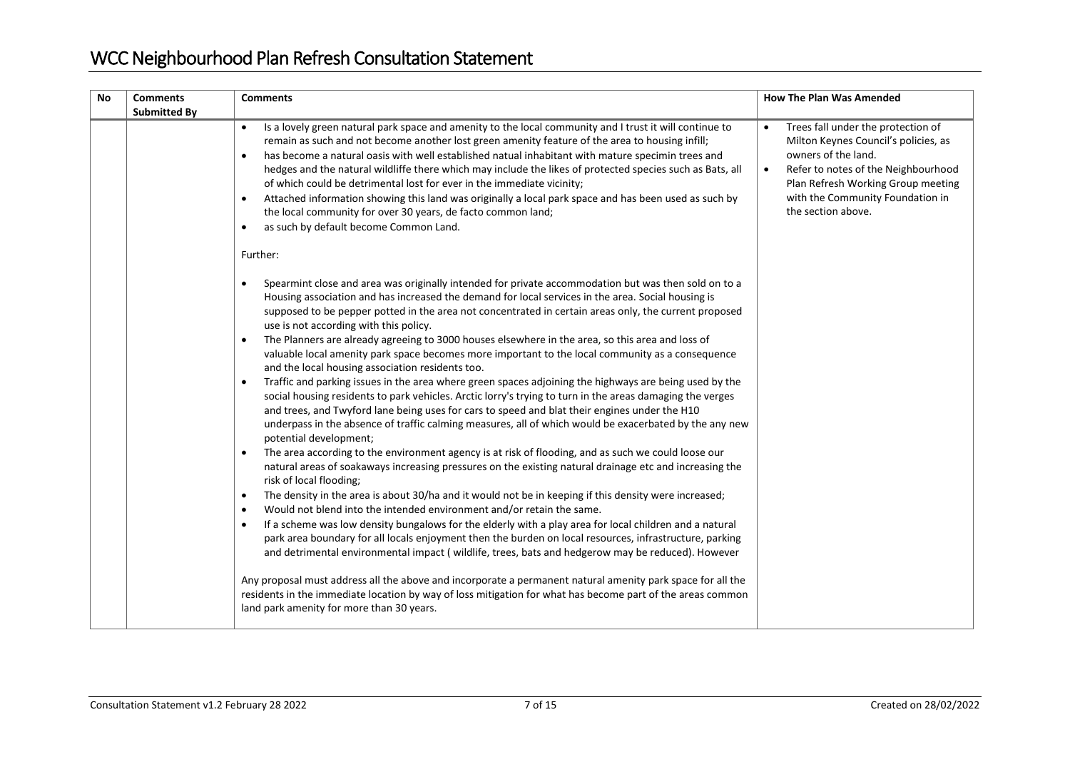| No | <b>Comments</b><br><b>Submitted By</b> | <b>Comments</b>                                                                                                                                                                                                                                                                                                                                                                                                                                                                                                                                                                                                                                                                                                                                                                                                                                                                                                                                                                                                                                                                                                                                                                                                                                                                                                                                                                                                                                                                                                                                                                                                                                                                                                                                                                                                                                                                                                                                                                                                                                                                                                                                                                                        | <b>How The Plan Was Amended</b>                                                                                                                                                                                                                       |
|----|----------------------------------------|--------------------------------------------------------------------------------------------------------------------------------------------------------------------------------------------------------------------------------------------------------------------------------------------------------------------------------------------------------------------------------------------------------------------------------------------------------------------------------------------------------------------------------------------------------------------------------------------------------------------------------------------------------------------------------------------------------------------------------------------------------------------------------------------------------------------------------------------------------------------------------------------------------------------------------------------------------------------------------------------------------------------------------------------------------------------------------------------------------------------------------------------------------------------------------------------------------------------------------------------------------------------------------------------------------------------------------------------------------------------------------------------------------------------------------------------------------------------------------------------------------------------------------------------------------------------------------------------------------------------------------------------------------------------------------------------------------------------------------------------------------------------------------------------------------------------------------------------------------------------------------------------------------------------------------------------------------------------------------------------------------------------------------------------------------------------------------------------------------------------------------------------------------------------------------------------------------|-------------------------------------------------------------------------------------------------------------------------------------------------------------------------------------------------------------------------------------------------------|
|    |                                        | Is a lovely green natural park space and amenity to the local community and I trust it will continue to<br>$\bullet$<br>remain as such and not become another lost green amenity feature of the area to housing infill;<br>has become a natural oasis with well established natual inhabitant with mature specimin trees and<br>$\bullet$<br>hedges and the natural wildliffe there which may include the likes of protected species such as Bats, all<br>of which could be detrimental lost for ever in the immediate vicinity;<br>Attached information showing this land was originally a local park space and has been used as such by<br>$\bullet$<br>the local community for over 30 years, de facto common land;<br>as such by default become Common Land.<br>$\bullet$<br>Further:                                                                                                                                                                                                                                                                                                                                                                                                                                                                                                                                                                                                                                                                                                                                                                                                                                                                                                                                                                                                                                                                                                                                                                                                                                                                                                                                                                                                              | Trees fall under the protection of<br>Milton Keynes Council's policies, as<br>owners of the land.<br>Refer to notes of the Neighbourhood<br>$\bullet$<br>Plan Refresh Working Group meeting<br>with the Community Foundation in<br>the section above. |
|    |                                        | Spearmint close and area was originally intended for private accommodation but was then sold on to a<br>Housing association and has increased the demand for local services in the area. Social housing is<br>supposed to be pepper potted in the area not concentrated in certain areas only, the current proposed<br>use is not according with this policy.<br>The Planners are already agreeing to 3000 houses elsewhere in the area, so this area and loss of<br>$\bullet$<br>valuable local amenity park space becomes more important to the local community as a consequence<br>and the local housing association residents too.<br>Traffic and parking issues in the area where green spaces adjoining the highways are being used by the<br>$\bullet$<br>social housing residents to park vehicles. Arctic lorry's trying to turn in the areas damaging the verges<br>and trees, and Twyford lane being uses for cars to speed and blat their engines under the H10<br>underpass in the absence of traffic calming measures, all of which would be exacerbated by the any new<br>potential development;<br>The area according to the environment agency is at risk of flooding, and as such we could loose our<br>$\bullet$<br>natural areas of soakaways increasing pressures on the existing natural drainage etc and increasing the<br>risk of local flooding;<br>The density in the area is about 30/ha and it would not be in keeping if this density were increased;<br>$\bullet$<br>Would not blend into the intended environment and/or retain the same.<br>$\bullet$<br>If a scheme was low density bungalows for the elderly with a play area for local children and a natural<br>$\bullet$<br>park area boundary for all locals enjoyment then the burden on local resources, infrastructure, parking<br>and detrimental environmental impact (wildlife, trees, bats and hedgerow may be reduced). However<br>Any proposal must address all the above and incorporate a permanent natural amenity park space for all the<br>residents in the immediate location by way of loss mitigation for what has become part of the areas common<br>land park amenity for more than 30 years. |                                                                                                                                                                                                                                                       |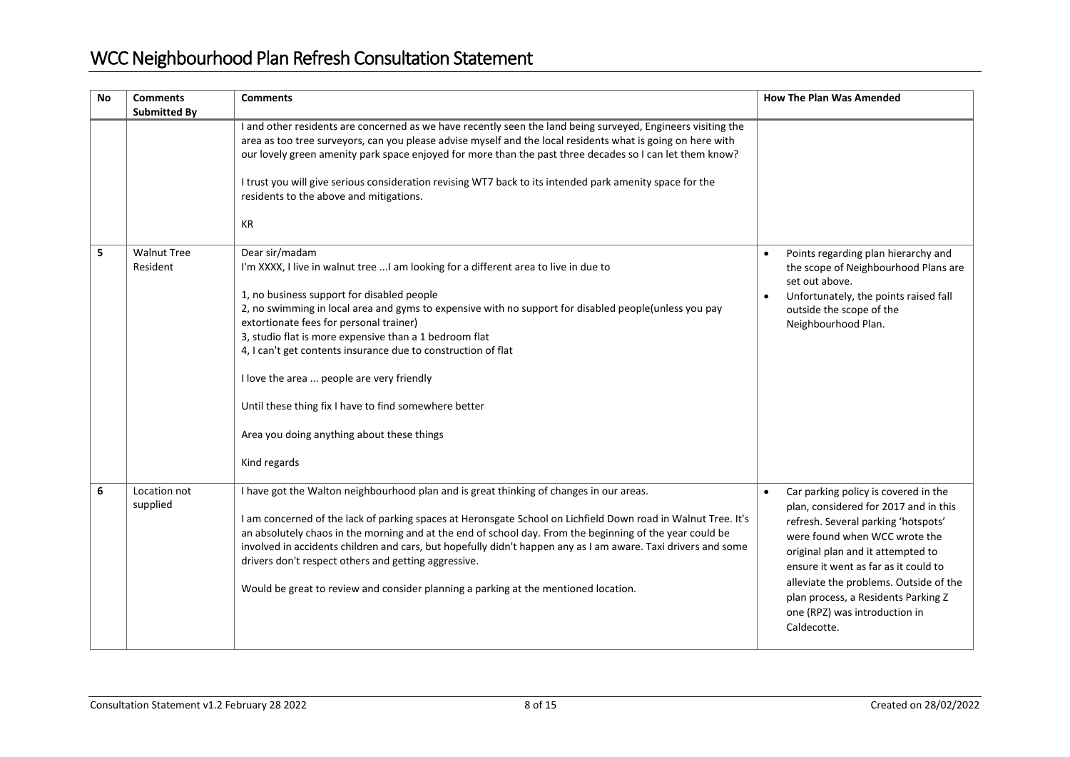| <b>No</b> | <b>Comments</b><br><b>Submitted By</b> | <b>Comments</b>                                                                                                                                                                                                                                                                                                                                                                                                                                                                                                                                                                                         | <b>How The Plan Was Amended</b>                                                                                                                                                                                                                                                                                                                                     |
|-----------|----------------------------------------|---------------------------------------------------------------------------------------------------------------------------------------------------------------------------------------------------------------------------------------------------------------------------------------------------------------------------------------------------------------------------------------------------------------------------------------------------------------------------------------------------------------------------------------------------------------------------------------------------------|---------------------------------------------------------------------------------------------------------------------------------------------------------------------------------------------------------------------------------------------------------------------------------------------------------------------------------------------------------------------|
|           |                                        | I and other residents are concerned as we have recently seen the land being surveyed, Engineers visiting the<br>area as too tree surveyors, can you please advise myself and the local residents what is going on here with<br>our lovely green amenity park space enjoyed for more than the past three decades so I can let them know?<br>I trust you will give serious consideration revising WT7 back to its intended park amenity space for the<br>residents to the above and mitigations.<br>KR                                                                                                    |                                                                                                                                                                                                                                                                                                                                                                     |
| 5         | <b>Walnut Tree</b><br>Resident         | Dear sir/madam<br>I'm XXXX, I live in walnut tree  I am looking for a different area to live in due to<br>1, no business support for disabled people<br>2, no swimming in local area and gyms to expensive with no support for disabled people(unless you pay<br>extortionate fees for personal trainer)<br>3, studio flat is more expensive than a 1 bedroom flat<br>4, I can't get contents insurance due to construction of flat<br>I love the area  people are very friendly<br>Until these thing fix I have to find somewhere better<br>Area you doing anything about these things<br>Kind regards | Points regarding plan hierarchy and<br>the scope of Neighbourhood Plans are<br>set out above.<br>Unfortunately, the points raised fall<br>outside the scope of the<br>Neighbourhood Plan.                                                                                                                                                                           |
| 6         | Location not<br>supplied               | I have got the Walton neighbourhood plan and is great thinking of changes in our areas.<br>I am concerned of the lack of parking spaces at Heronsgate School on Lichfield Down road in Walnut Tree. It's<br>an absolutely chaos in the morning and at the end of school day. From the beginning of the year could be<br>involved in accidents children and cars, but hopefully didn't happen any as I am aware. Taxi drivers and some<br>drivers don't respect others and getting aggressive.<br>Would be great to review and consider planning a parking at the mentioned location.                    | Car parking policy is covered in the<br>plan, considered for 2017 and in this<br>refresh. Several parking 'hotspots'<br>were found when WCC wrote the<br>original plan and it attempted to<br>ensure it went as far as it could to<br>alleviate the problems. Outside of the<br>plan process, a Residents Parking Z<br>one (RPZ) was introduction in<br>Caldecotte. |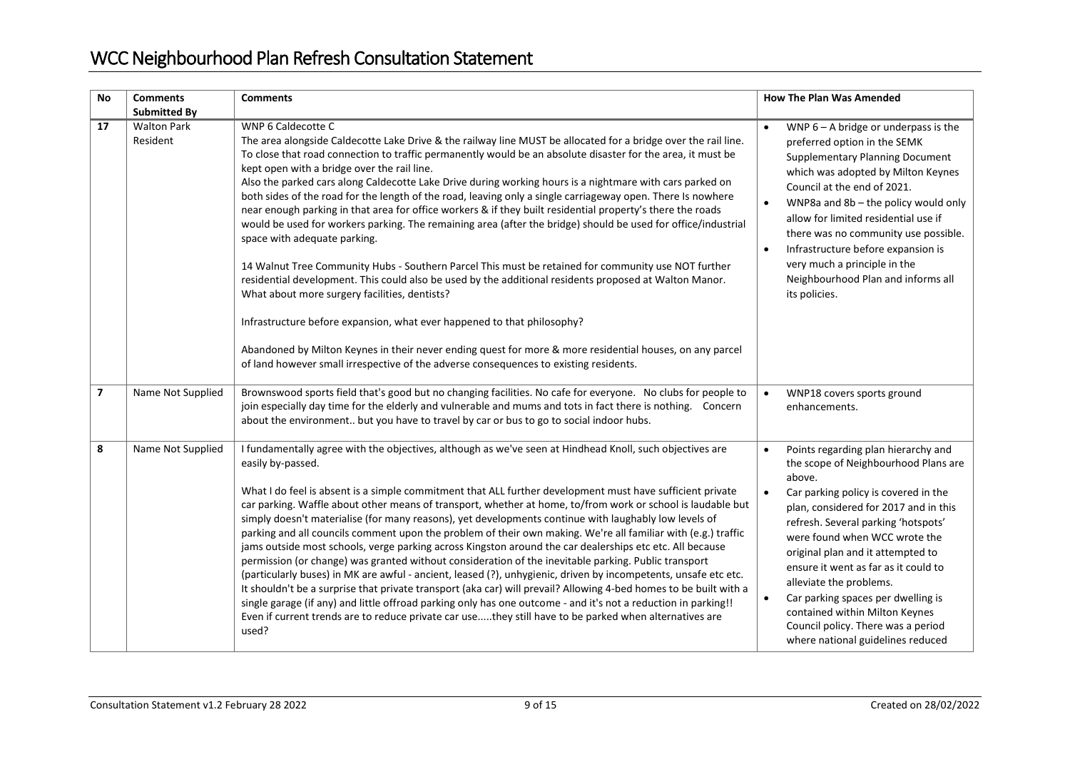| <b>No</b>                | <b>Comments</b><br><b>Submitted By</b> | <b>Comments</b>                                                                                                                                                                                                                                                                                                                                                                                                                                                                                                                                                                                                                                                                                                                                                                                                                                                                                                                                                                                                                                                                                                                                                                                                                                                                                                                                | <b>How The Plan Was Amended</b>                                                                                                                                                                                                                                                                                                                                                                                                                                                                                        |
|--------------------------|----------------------------------------|------------------------------------------------------------------------------------------------------------------------------------------------------------------------------------------------------------------------------------------------------------------------------------------------------------------------------------------------------------------------------------------------------------------------------------------------------------------------------------------------------------------------------------------------------------------------------------------------------------------------------------------------------------------------------------------------------------------------------------------------------------------------------------------------------------------------------------------------------------------------------------------------------------------------------------------------------------------------------------------------------------------------------------------------------------------------------------------------------------------------------------------------------------------------------------------------------------------------------------------------------------------------------------------------------------------------------------------------|------------------------------------------------------------------------------------------------------------------------------------------------------------------------------------------------------------------------------------------------------------------------------------------------------------------------------------------------------------------------------------------------------------------------------------------------------------------------------------------------------------------------|
| 17                       | <b>Walton Park</b><br>Resident         | WNP 6 Caldecotte C<br>The area alongside Caldecotte Lake Drive & the railway line MUST be allocated for a bridge over the rail line.<br>To close that road connection to traffic permanently would be an absolute disaster for the area, it must be<br>kept open with a bridge over the rail line.<br>Also the parked cars along Caldecotte Lake Drive during working hours is a nightmare with cars parked on<br>both sides of the road for the length of the road, leaving only a single carriageway open. There Is nowhere<br>near enough parking in that area for office workers & if they built residential property's there the roads<br>would be used for workers parking. The remaining area (after the bridge) should be used for office/industrial<br>space with adequate parking.<br>14 Walnut Tree Community Hubs - Southern Parcel This must be retained for community use NOT further<br>residential development. This could also be used by the additional residents proposed at Walton Manor.<br>What about more surgery facilities, dentists?<br>Infrastructure before expansion, what ever happened to that philosophy?<br>Abandoned by Milton Keynes in their never ending quest for more & more residential houses, on any parcel<br>of land however small irrespective of the adverse consequences to existing residents. | WNP $6 - A$ bridge or underpass is the<br>preferred option in the SEMK<br><b>Supplementary Planning Document</b><br>which was adopted by Milton Keynes<br>Council at the end of 2021.<br>WNP8a and 8b - the policy would only<br>allow for limited residential use if<br>there was no community use possible.<br>Infrastructure before expansion is<br>$\bullet$<br>very much a principle in the<br>Neighbourhood Plan and informs all<br>its policies.                                                                |
| $\overline{\phantom{a}}$ | Name Not Supplied                      | Brownswood sports field that's good but no changing facilities. No cafe for everyone. No clubs for people to<br>join especially day time for the elderly and vulnerable and mums and tots in fact there is nothing. Concern<br>about the environment but you have to travel by car or bus to go to social indoor hubs.                                                                                                                                                                                                                                                                                                                                                                                                                                                                                                                                                                                                                                                                                                                                                                                                                                                                                                                                                                                                                         | WNP18 covers sports ground<br>$\bullet$<br>enhancements.                                                                                                                                                                                                                                                                                                                                                                                                                                                               |
| 8                        | Name Not Supplied                      | I fundamentally agree with the objectives, although as we've seen at Hindhead Knoll, such objectives are<br>easily by-passed.<br>What I do feel is absent is a simple commitment that ALL further development must have sufficient private<br>car parking. Waffle about other means of transport, whether at home, to/from work or school is laudable but<br>simply doesn't materialise (for many reasons), yet developments continue with laughably low levels of<br>parking and all councils comment upon the problem of their own making. We're all familiar with (e.g.) traffic<br>jams outside most schools, verge parking across Kingston around the car dealerships etc etc. All because<br>permission (or change) was granted without consideration of the inevitable parking. Public transport<br>(particularly buses) in MK are awful - ancient, leased (?), unhygienic, driven by incompetents, unsafe etc etc.<br>It shouldn't be a surprise that private transport (aka car) will prevail? Allowing 4-bed homes to be built with a<br>single garage (if any) and little offroad parking only has one outcome - and it's not a reduction in parking!!<br>Even if current trends are to reduce private car usethey still have to be parked when alternatives are<br>used?                                                           | Points regarding plan hierarchy and<br>the scope of Neighbourhood Plans are<br>above.<br>Car parking policy is covered in the<br>$\bullet$<br>plan, considered for 2017 and in this<br>refresh. Several parking 'hotspots'<br>were found when WCC wrote the<br>original plan and it attempted to<br>ensure it went as far as it could to<br>alleviate the problems.<br>Car parking spaces per dwelling is<br>contained within Milton Keynes<br>Council policy. There was a period<br>where national guidelines reduced |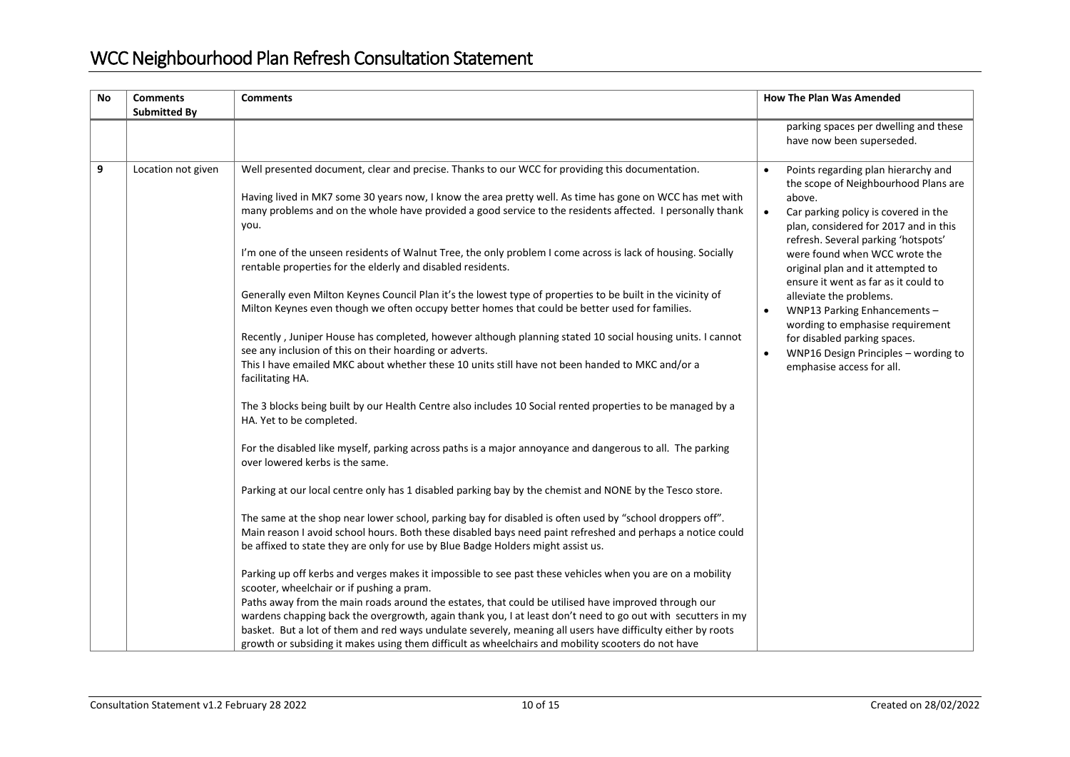| <b>No</b> | <b>Comments</b><br><b>Submitted By</b> | <b>Comments</b>                                                                                                                                                                                                                                                                                                                                                                                                                                                                                                                                                                                                                                                                                                                                                                                                                                                                                                                                                                                                                                                                                                                                                                                                                                                                                                                                                                                                                                                                                                                                                                                                                                                                                                                                                                                                                                                                                                                                                                                                                                                                                                                                                                                                                                                                                                                                        | <b>How The Plan Was Amended</b>                                                                                                                                                                                                                                                                                                                                                                                                                                                                                                             |
|-----------|----------------------------------------|--------------------------------------------------------------------------------------------------------------------------------------------------------------------------------------------------------------------------------------------------------------------------------------------------------------------------------------------------------------------------------------------------------------------------------------------------------------------------------------------------------------------------------------------------------------------------------------------------------------------------------------------------------------------------------------------------------------------------------------------------------------------------------------------------------------------------------------------------------------------------------------------------------------------------------------------------------------------------------------------------------------------------------------------------------------------------------------------------------------------------------------------------------------------------------------------------------------------------------------------------------------------------------------------------------------------------------------------------------------------------------------------------------------------------------------------------------------------------------------------------------------------------------------------------------------------------------------------------------------------------------------------------------------------------------------------------------------------------------------------------------------------------------------------------------------------------------------------------------------------------------------------------------------------------------------------------------------------------------------------------------------------------------------------------------------------------------------------------------------------------------------------------------------------------------------------------------------------------------------------------------------------------------------------------------------------------------------------------------|---------------------------------------------------------------------------------------------------------------------------------------------------------------------------------------------------------------------------------------------------------------------------------------------------------------------------------------------------------------------------------------------------------------------------------------------------------------------------------------------------------------------------------------------|
|           |                                        |                                                                                                                                                                                                                                                                                                                                                                                                                                                                                                                                                                                                                                                                                                                                                                                                                                                                                                                                                                                                                                                                                                                                                                                                                                                                                                                                                                                                                                                                                                                                                                                                                                                                                                                                                                                                                                                                                                                                                                                                                                                                                                                                                                                                                                                                                                                                                        | parking spaces per dwelling and these<br>have now been superseded.                                                                                                                                                                                                                                                                                                                                                                                                                                                                          |
| 9         | Location not given                     | Well presented document, clear and precise. Thanks to our WCC for providing this documentation.<br>Having lived in MK7 some 30 years now, I know the area pretty well. As time has gone on WCC has met with<br>many problems and on the whole have provided a good service to the residents affected. I personally thank<br>you.<br>I'm one of the unseen residents of Walnut Tree, the only problem I come across is lack of housing. Socially<br>rentable properties for the elderly and disabled residents.<br>Generally even Milton Keynes Council Plan it's the lowest type of properties to be built in the vicinity of<br>Milton Keynes even though we often occupy better homes that could be better used for families.<br>Recently, Juniper House has completed, however although planning stated 10 social housing units. I cannot<br>see any inclusion of this on their hoarding or adverts.<br>This I have emailed MKC about whether these 10 units still have not been handed to MKC and/or a<br>facilitating HA.<br>The 3 blocks being built by our Health Centre also includes 10 Social rented properties to be managed by a<br>HA. Yet to be completed.<br>For the disabled like myself, parking across paths is a major annoyance and dangerous to all. The parking<br>over lowered kerbs is the same.<br>Parking at our local centre only has 1 disabled parking bay by the chemist and NONE by the Tesco store.<br>The same at the shop near lower school, parking bay for disabled is often used by "school droppers off".<br>Main reason I avoid school hours. Both these disabled bays need paint refreshed and perhaps a notice could<br>be affixed to state they are only for use by Blue Badge Holders might assist us.<br>Parking up off kerbs and verges makes it impossible to see past these vehicles when you are on a mobility<br>scooter, wheelchair or if pushing a pram.<br>Paths away from the main roads around the estates, that could be utilised have improved through our<br>wardens chapping back the overgrowth, again thank you, I at least don't need to go out with secutters in my<br>basket. But a lot of them and red ways undulate severely, meaning all users have difficulty either by roots<br>growth or subsiding it makes using them difficult as wheelchairs and mobility scooters do not have | Points regarding plan hierarchy and<br>the scope of Neighbourhood Plans are<br>above.<br>Car parking policy is covered in the<br>$\bullet$<br>plan, considered for 2017 and in this<br>refresh. Several parking 'hotspots'<br>were found when WCC wrote the<br>original plan and it attempted to<br>ensure it went as far as it could to<br>alleviate the problems.<br>WNP13 Parking Enhancements-<br>wording to emphasise requirement<br>for disabled parking spaces.<br>WNP16 Design Principles - wording to<br>emphasise access for all. |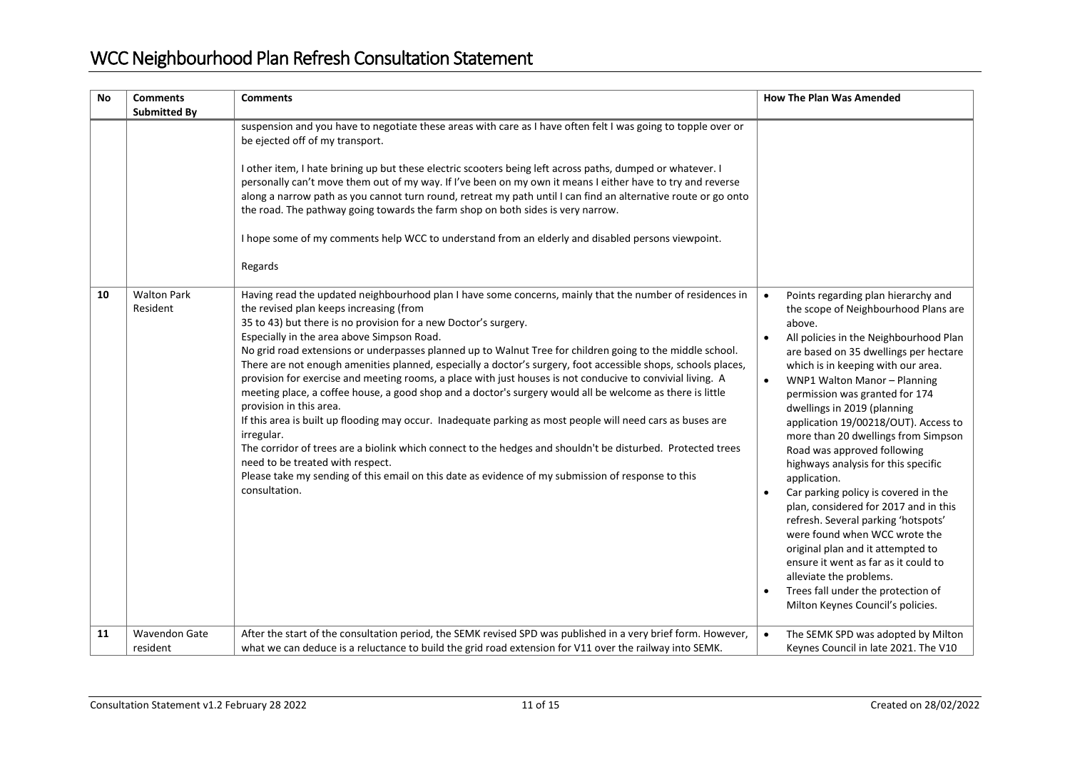| <b>No</b> | <b>Comments</b><br><b>Submitted By</b> | <b>Comments</b>                                                                                                                                                                                                                                                                                                                                                                                                                                                                                                                                                                                                                                                                                                                                                                                                                                                                                                                                                                                                                                                                                                                                                | <b>How The Plan Was Amended</b>                                                                                                                                                                                                                                                                                                                                                                                                                                                                                                                                                                                                                                                                                                                                                                                                                            |
|-----------|----------------------------------------|----------------------------------------------------------------------------------------------------------------------------------------------------------------------------------------------------------------------------------------------------------------------------------------------------------------------------------------------------------------------------------------------------------------------------------------------------------------------------------------------------------------------------------------------------------------------------------------------------------------------------------------------------------------------------------------------------------------------------------------------------------------------------------------------------------------------------------------------------------------------------------------------------------------------------------------------------------------------------------------------------------------------------------------------------------------------------------------------------------------------------------------------------------------|------------------------------------------------------------------------------------------------------------------------------------------------------------------------------------------------------------------------------------------------------------------------------------------------------------------------------------------------------------------------------------------------------------------------------------------------------------------------------------------------------------------------------------------------------------------------------------------------------------------------------------------------------------------------------------------------------------------------------------------------------------------------------------------------------------------------------------------------------------|
|           |                                        | suspension and you have to negotiate these areas with care as I have often felt I was going to topple over or<br>be ejected off of my transport.<br>I other item, I hate brining up but these electric scooters being left across paths, dumped or whatever. I<br>personally can't move them out of my way. If I've been on my own it means I either have to try and reverse<br>along a narrow path as you cannot turn round, retreat my path until I can find an alternative route or go onto<br>the road. The pathway going towards the farm shop on both sides is very narrow.<br>I hope some of my comments help WCC to understand from an elderly and disabled persons viewpoint.<br>Regards                                                                                                                                                                                                                                                                                                                                                                                                                                                              |                                                                                                                                                                                                                                                                                                                                                                                                                                                                                                                                                                                                                                                                                                                                                                                                                                                            |
| 10        | <b>Walton Park</b><br>Resident         | Having read the updated neighbourhood plan I have some concerns, mainly that the number of residences in<br>the revised plan keeps increasing (from<br>35 to 43) but there is no provision for a new Doctor's surgery.<br>Especially in the area above Simpson Road.<br>No grid road extensions or underpasses planned up to Walnut Tree for children going to the middle school.<br>There are not enough amenities planned, especially a doctor's surgery, foot accessible shops, schools places,<br>provision for exercise and meeting rooms, a place with just houses is not conducive to convivial living. A<br>meeting place, a coffee house, a good shop and a doctor's surgery would all be welcome as there is little<br>provision in this area.<br>If this area is built up flooding may occur. Inadequate parking as most people will need cars as buses are<br>irregular.<br>The corridor of trees are a biolink which connect to the hedges and shouldn't be disturbed. Protected trees<br>need to be treated with respect.<br>Please take my sending of this email on this date as evidence of my submission of response to this<br>consultation. | Points regarding plan hierarchy and<br>$\bullet$<br>the scope of Neighbourhood Plans are<br>above.<br>All policies in the Neighbourhood Plan<br>are based on 35 dwellings per hectare<br>which is in keeping with our area.<br>WNP1 Walton Manor - Planning<br>$\bullet$<br>permission was granted for 174<br>dwellings in 2019 (planning<br>application 19/00218/OUT). Access to<br>more than 20 dwellings from Simpson<br>Road was approved following<br>highways analysis for this specific<br>application.<br>Car parking policy is covered in the<br>plan, considered for 2017 and in this<br>refresh. Several parking 'hotspots'<br>were found when WCC wrote the<br>original plan and it attempted to<br>ensure it went as far as it could to<br>alleviate the problems.<br>Trees fall under the protection of<br>Milton Keynes Council's policies. |
| 11        | <b>Wavendon Gate</b><br>resident       | After the start of the consultation period, the SEMK revised SPD was published in a very brief form. However,<br>what we can deduce is a reluctance to build the grid road extension for V11 over the railway into SEMK.                                                                                                                                                                                                                                                                                                                                                                                                                                                                                                                                                                                                                                                                                                                                                                                                                                                                                                                                       | The SEMK SPD was adopted by Milton<br>Keynes Council in late 2021. The V10                                                                                                                                                                                                                                                                                                                                                                                                                                                                                                                                                                                                                                                                                                                                                                                 |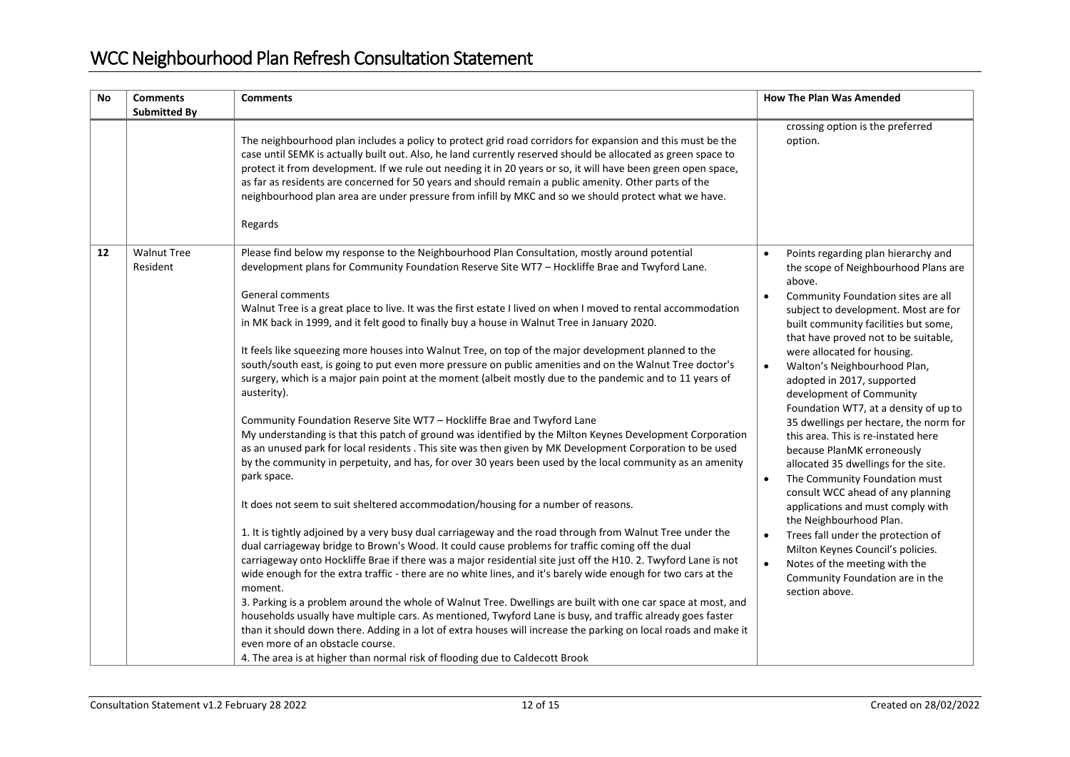| <b>No</b> | <b>Comments</b>                | <b>Comments</b>                                                                                                                                                                                                                                                                                                                                                                                                                                                                                                                                                                                                                                                                                                                                                                                                                                                                                                                                                                                                                                                                                                                                                                                                                                                                                                                                                                                                                                                                                                                                                                                                                                                                                                                                                                                                                                                                                                                                                                                                                                                                                                                                                                                                                                     | <b>How The Plan Was Amended</b>                                                                                                                                                                                                                                                                                                                                                                                                                                                                                                                                                                                                                                                                                                                                                                                                                                                                               |
|-----------|--------------------------------|-----------------------------------------------------------------------------------------------------------------------------------------------------------------------------------------------------------------------------------------------------------------------------------------------------------------------------------------------------------------------------------------------------------------------------------------------------------------------------------------------------------------------------------------------------------------------------------------------------------------------------------------------------------------------------------------------------------------------------------------------------------------------------------------------------------------------------------------------------------------------------------------------------------------------------------------------------------------------------------------------------------------------------------------------------------------------------------------------------------------------------------------------------------------------------------------------------------------------------------------------------------------------------------------------------------------------------------------------------------------------------------------------------------------------------------------------------------------------------------------------------------------------------------------------------------------------------------------------------------------------------------------------------------------------------------------------------------------------------------------------------------------------------------------------------------------------------------------------------------------------------------------------------------------------------------------------------------------------------------------------------------------------------------------------------------------------------------------------------------------------------------------------------------------------------------------------------------------------------------------------------|---------------------------------------------------------------------------------------------------------------------------------------------------------------------------------------------------------------------------------------------------------------------------------------------------------------------------------------------------------------------------------------------------------------------------------------------------------------------------------------------------------------------------------------------------------------------------------------------------------------------------------------------------------------------------------------------------------------------------------------------------------------------------------------------------------------------------------------------------------------------------------------------------------------|
|           | <b>Submitted By</b>            | The neighbourhood plan includes a policy to protect grid road corridors for expansion and this must be the<br>case until SEMK is actually built out. Also, he land currently reserved should be allocated as green space to<br>protect it from development. If we rule out needing it in 20 years or so, it will have been green open space,<br>as far as residents are concerned for 50 years and should remain a public amenity. Other parts of the<br>neighbourhood plan area are under pressure from infill by MKC and so we should protect what we have.<br>Regards                                                                                                                                                                                                                                                                                                                                                                                                                                                                                                                                                                                                                                                                                                                                                                                                                                                                                                                                                                                                                                                                                                                                                                                                                                                                                                                                                                                                                                                                                                                                                                                                                                                                            | crossing option is the preferred<br>option.                                                                                                                                                                                                                                                                                                                                                                                                                                                                                                                                                                                                                                                                                                                                                                                                                                                                   |
| 12        | <b>Walnut Tree</b><br>Resident | Please find below my response to the Neighbourhood Plan Consultation, mostly around potential<br>development plans for Community Foundation Reserve Site WT7 - Hockliffe Brae and Twyford Lane.<br><b>General comments</b><br>Walnut Tree is a great place to live. It was the first estate I lived on when I moved to rental accommodation<br>in MK back in 1999, and it felt good to finally buy a house in Walnut Tree in January 2020.<br>It feels like squeezing more houses into Walnut Tree, on top of the major development planned to the<br>south/south east, is going to put even more pressure on public amenities and on the Walnut Tree doctor's<br>surgery, which is a major pain point at the moment (albeit mostly due to the pandemic and to 11 years of<br>austerity).<br>Community Foundation Reserve Site WT7 - Hockliffe Brae and Twyford Lane<br>My understanding is that this patch of ground was identified by the Milton Keynes Development Corporation<br>as an unused park for local residents . This site was then given by MK Development Corporation to be used<br>by the community in perpetuity, and has, for over 30 years been used by the local community as an amenity<br>park space.<br>It does not seem to suit sheltered accommodation/housing for a number of reasons.<br>1. It is tightly adjoined by a very busy dual carriageway and the road through from Walnut Tree under the<br>dual carriageway bridge to Brown's Wood. It could cause problems for traffic coming off the dual<br>carriageway onto Hockliffe Brae if there was a major residential site just off the H10. 2. Twyford Lane is not<br>wide enough for the extra traffic - there are no white lines, and it's barely wide enough for two cars at the<br>moment.<br>3. Parking is a problem around the whole of Walnut Tree. Dwellings are built with one car space at most, and<br>households usually have multiple cars. As mentioned, Twyford Lane is busy, and traffic already goes faster<br>than it should down there. Adding in a lot of extra houses will increase the parking on local roads and make it<br>even more of an obstacle course.<br>4. The area is at higher than normal risk of flooding due to Caldecott Brook | Points regarding plan hierarchy and<br>the scope of Neighbourhood Plans are<br>above.<br>Community Foundation sites are all<br>subject to development. Most are for<br>built community facilities but some,<br>that have proved not to be suitable,<br>were allocated for housing.<br>Walton's Neighbourhood Plan,<br>adopted in 2017, supported<br>development of Community<br>Foundation WT7, at a density of up to<br>35 dwellings per hectare, the norm for<br>this area. This is re-instated here<br>because PlanMK erroneously<br>allocated 35 dwellings for the site.<br>The Community Foundation must<br>$\bullet$<br>consult WCC ahead of any planning<br>applications and must comply with<br>the Neighbourhood Plan.<br>Trees fall under the protection of<br>Milton Keynes Council's policies.<br>Notes of the meeting with the<br>$\bullet$<br>Community Foundation are in the<br>section above. |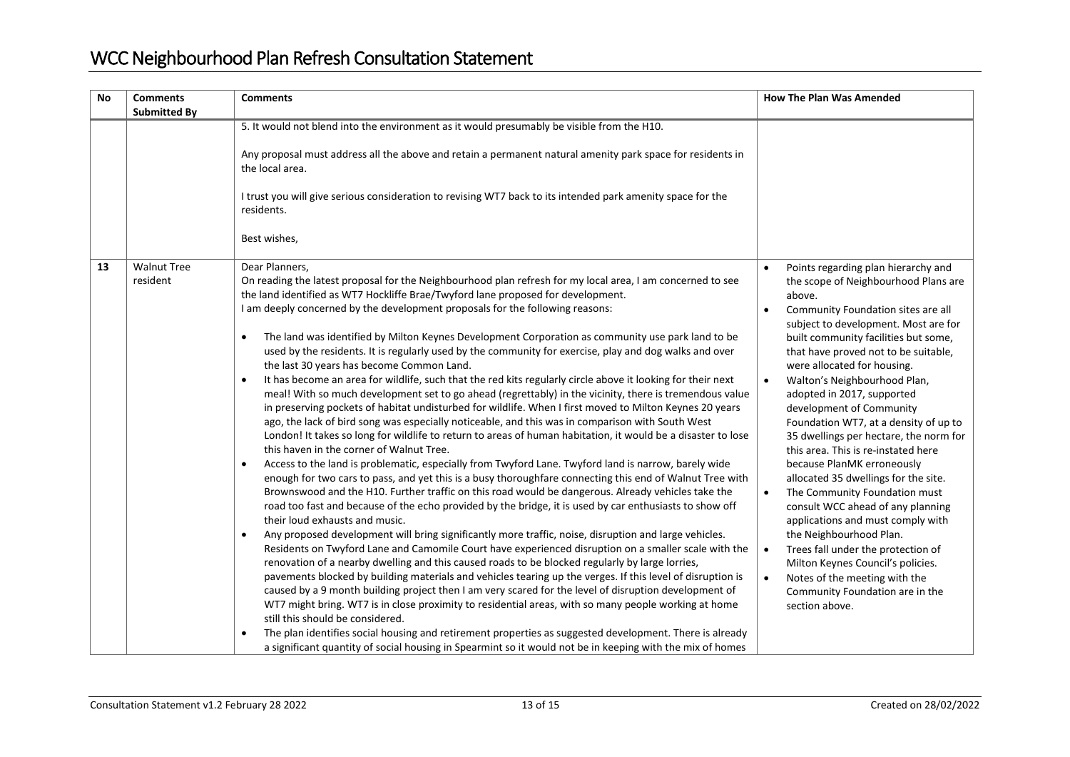| <b>No</b> | <b>Comments</b><br><b>Submitted By</b> | <b>Comments</b>                                                                                                                                                                                                                                                                                                                                                                                                                                                                                                                                                                                                                                                                                                                                                                                                                                                                                                                                                                                                                                                                                                                                                                                                                                                                                                                                                                                                                                                                                                                                                                                                                                                                                                                                                                                                                                                                                                                                                                                                                                                                                                                                                                                                                                                                                                                                                                                                                                                                                                                                                                                              | <b>How The Plan Was Amended</b>                                                                                                                                                                                                                                                                                                                                                                                                                                                                                                                                                                                                                                                                                                                                                                                                                                                                                                                      |
|-----------|----------------------------------------|--------------------------------------------------------------------------------------------------------------------------------------------------------------------------------------------------------------------------------------------------------------------------------------------------------------------------------------------------------------------------------------------------------------------------------------------------------------------------------------------------------------------------------------------------------------------------------------------------------------------------------------------------------------------------------------------------------------------------------------------------------------------------------------------------------------------------------------------------------------------------------------------------------------------------------------------------------------------------------------------------------------------------------------------------------------------------------------------------------------------------------------------------------------------------------------------------------------------------------------------------------------------------------------------------------------------------------------------------------------------------------------------------------------------------------------------------------------------------------------------------------------------------------------------------------------------------------------------------------------------------------------------------------------------------------------------------------------------------------------------------------------------------------------------------------------------------------------------------------------------------------------------------------------------------------------------------------------------------------------------------------------------------------------------------------------------------------------------------------------------------------------------------------------------------------------------------------------------------------------------------------------------------------------------------------------------------------------------------------------------------------------------------------------------------------------------------------------------------------------------------------------------------------------------------------------------------------------------------------------|------------------------------------------------------------------------------------------------------------------------------------------------------------------------------------------------------------------------------------------------------------------------------------------------------------------------------------------------------------------------------------------------------------------------------------------------------------------------------------------------------------------------------------------------------------------------------------------------------------------------------------------------------------------------------------------------------------------------------------------------------------------------------------------------------------------------------------------------------------------------------------------------------------------------------------------------------|
|           |                                        | 5. It would not blend into the environment as it would presumably be visible from the H10.<br>Any proposal must address all the above and retain a permanent natural amenity park space for residents in<br>the local area.<br>I trust you will give serious consideration to revising WT7 back to its intended park amenity space for the<br>residents.<br>Best wishes,                                                                                                                                                                                                                                                                                                                                                                                                                                                                                                                                                                                                                                                                                                                                                                                                                                                                                                                                                                                                                                                                                                                                                                                                                                                                                                                                                                                                                                                                                                                                                                                                                                                                                                                                                                                                                                                                                                                                                                                                                                                                                                                                                                                                                                     |                                                                                                                                                                                                                                                                                                                                                                                                                                                                                                                                                                                                                                                                                                                                                                                                                                                                                                                                                      |
| 13        | <b>Walnut Tree</b><br>resident         | Dear Planners,<br>On reading the latest proposal for the Neighbourhood plan refresh for my local area, I am concerned to see<br>the land identified as WT7 Hockliffe Brae/Twyford lane proposed for development.<br>I am deeply concerned by the development proposals for the following reasons:<br>The land was identified by Milton Keynes Development Corporation as community use park land to be<br>$\bullet$<br>used by the residents. It is regularly used by the community for exercise, play and dog walks and over<br>the last 30 years has become Common Land.<br>It has become an area for wildlife, such that the red kits regularly circle above it looking for their next<br>$\bullet$<br>meal! With so much development set to go ahead (regrettably) in the vicinity, there is tremendous value<br>in preserving pockets of habitat undisturbed for wildlife. When I first moved to Milton Keynes 20 years<br>ago, the lack of bird song was especially noticeable, and this was in comparison with South West<br>London! It takes so long for wildlife to return to areas of human habitation, it would be a disaster to lose<br>this haven in the corner of Walnut Tree.<br>Access to the land is problematic, especially from Twyford Lane. Twyford land is narrow, barely wide<br>$\bullet$<br>enough for two cars to pass, and yet this is a busy thoroughfare connecting this end of Walnut Tree with<br>Brownswood and the H10. Further traffic on this road would be dangerous. Already vehicles take the<br>road too fast and because of the echo provided by the bridge, it is used by car enthusiasts to show off<br>their loud exhausts and music.<br>Any proposed development will bring significantly more traffic, noise, disruption and large vehicles.<br>$\bullet$<br>Residents on Twyford Lane and Camomile Court have experienced disruption on a smaller scale with the<br>renovation of a nearby dwelling and this caused roads to be blocked regularly by large lorries,<br>pavements blocked by building materials and vehicles tearing up the verges. If this level of disruption is<br>caused by a 9 month building project then I am very scared for the level of disruption development of<br>WT7 might bring. WT7 is in close proximity to residential areas, with so many people working at home<br>still this should be considered.<br>The plan identifies social housing and retirement properties as suggested development. There is already<br>a significant quantity of social housing in Spearmint so it would not be in keeping with the mix of homes | Points regarding plan hierarchy and<br>the scope of Neighbourhood Plans are<br>above.<br>Community Foundation sites are all<br>$\bullet$<br>subject to development. Most are for<br>built community facilities but some,<br>that have proved not to be suitable,<br>were allocated for housing.<br>Walton's Neighbourhood Plan,<br>$\bullet$<br>adopted in 2017, supported<br>development of Community<br>Foundation WT7, at a density of up to<br>35 dwellings per hectare, the norm for<br>this area. This is re-instated here<br>because PlanMK erroneously<br>allocated 35 dwellings for the site.<br>The Community Foundation must<br>$\bullet$<br>consult WCC ahead of any planning<br>applications and must comply with<br>the Neighbourhood Plan.<br>Trees fall under the protection of<br>$\bullet$<br>Milton Keynes Council's policies.<br>Notes of the meeting with the<br>$\bullet$<br>Community Foundation are in the<br>section above. |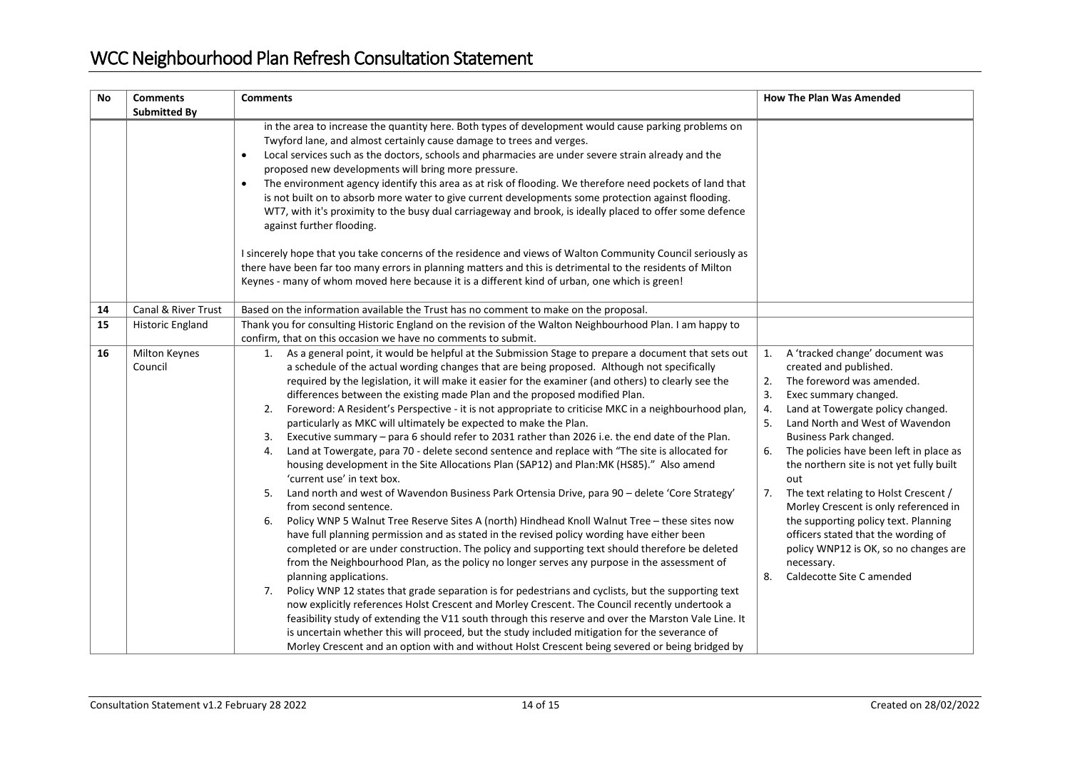| <b>No</b> | <b>Comments</b><br><b>Submitted By</b> | <b>Comments</b>                                                                                                                                                                                                                                                                                                                                                                                                                                                                                                                                                                                                                                                                                                                                                                                                                                                                                                                                                                                                                                                                                                                                                                                                                                                                                                                                                                                                                                                                                                                                                                                                                                                                                                                                                                                                                                                                                                                                                                                                            | <b>How The Plan Was Amended</b>                                                                                                                                                                                                                                                                                                                                                                                                                                                                                                                                                                                                  |
|-----------|----------------------------------------|----------------------------------------------------------------------------------------------------------------------------------------------------------------------------------------------------------------------------------------------------------------------------------------------------------------------------------------------------------------------------------------------------------------------------------------------------------------------------------------------------------------------------------------------------------------------------------------------------------------------------------------------------------------------------------------------------------------------------------------------------------------------------------------------------------------------------------------------------------------------------------------------------------------------------------------------------------------------------------------------------------------------------------------------------------------------------------------------------------------------------------------------------------------------------------------------------------------------------------------------------------------------------------------------------------------------------------------------------------------------------------------------------------------------------------------------------------------------------------------------------------------------------------------------------------------------------------------------------------------------------------------------------------------------------------------------------------------------------------------------------------------------------------------------------------------------------------------------------------------------------------------------------------------------------------------------------------------------------------------------------------------------------|----------------------------------------------------------------------------------------------------------------------------------------------------------------------------------------------------------------------------------------------------------------------------------------------------------------------------------------------------------------------------------------------------------------------------------------------------------------------------------------------------------------------------------------------------------------------------------------------------------------------------------|
|           |                                        | in the area to increase the quantity here. Both types of development would cause parking problems on<br>Twyford lane, and almost certainly cause damage to trees and verges.<br>Local services such as the doctors, schools and pharmacies are under severe strain already and the<br>$\bullet$<br>proposed new developments will bring more pressure.<br>The environment agency identify this area as at risk of flooding. We therefore need pockets of land that<br>$\bullet$<br>is not built on to absorb more water to give current developments some protection against flooding.<br>WT7, with it's proximity to the busy dual carriageway and brook, is ideally placed to offer some defence<br>against further flooding.                                                                                                                                                                                                                                                                                                                                                                                                                                                                                                                                                                                                                                                                                                                                                                                                                                                                                                                                                                                                                                                                                                                                                                                                                                                                                            |                                                                                                                                                                                                                                                                                                                                                                                                                                                                                                                                                                                                                                  |
|           |                                        | I sincerely hope that you take concerns of the residence and views of Walton Community Council seriously as<br>there have been far too many errors in planning matters and this is detrimental to the residents of Milton<br>Keynes - many of whom moved here because it is a different kind of urban, one which is green!                                                                                                                                                                                                                                                                                                                                                                                                                                                                                                                                                                                                                                                                                                                                                                                                                                                                                                                                                                                                                                                                                                                                                                                                                                                                                                                                                                                                                                                                                                                                                                                                                                                                                                 |                                                                                                                                                                                                                                                                                                                                                                                                                                                                                                                                                                                                                                  |
| 14        | Canal & River Trust                    | Based on the information available the Trust has no comment to make on the proposal.                                                                                                                                                                                                                                                                                                                                                                                                                                                                                                                                                                                                                                                                                                                                                                                                                                                                                                                                                                                                                                                                                                                                                                                                                                                                                                                                                                                                                                                                                                                                                                                                                                                                                                                                                                                                                                                                                                                                       |                                                                                                                                                                                                                                                                                                                                                                                                                                                                                                                                                                                                                                  |
| 15        | Historic England                       | Thank you for consulting Historic England on the revision of the Walton Neighbourhood Plan. I am happy to<br>confirm, that on this occasion we have no comments to submit.                                                                                                                                                                                                                                                                                                                                                                                                                                                                                                                                                                                                                                                                                                                                                                                                                                                                                                                                                                                                                                                                                                                                                                                                                                                                                                                                                                                                                                                                                                                                                                                                                                                                                                                                                                                                                                                 |                                                                                                                                                                                                                                                                                                                                                                                                                                                                                                                                                                                                                                  |
| 16        | <b>Milton Keynes</b><br>Council        | 1. As a general point, it would be helpful at the Submission Stage to prepare a document that sets out<br>a schedule of the actual wording changes that are being proposed. Although not specifically<br>required by the legislation, it will make it easier for the examiner (and others) to clearly see the<br>differences between the existing made Plan and the proposed modified Plan.<br>Foreword: A Resident's Perspective - it is not appropriate to criticise MKC in a neighbourhood plan,<br>2.<br>particularly as MKC will ultimately be expected to make the Plan.<br>Executive summary - para 6 should refer to 2031 rather than 2026 i.e. the end date of the Plan.<br>3.<br>Land at Towergate, para 70 - delete second sentence and replace with "The site is allocated for<br>4.<br>housing development in the Site Allocations Plan (SAP12) and Plan: MK (HS85)." Also amend<br>'current use' in text box.<br>Land north and west of Wavendon Business Park Ortensia Drive, para 90 - delete 'Core Strategy'<br>5.<br>from second sentence.<br>Policy WNP 5 Walnut Tree Reserve Sites A (north) Hindhead Knoll Walnut Tree - these sites now<br>6.<br>have full planning permission and as stated in the revised policy wording have either been<br>completed or are under construction. The policy and supporting text should therefore be deleted<br>from the Neighbourhood Plan, as the policy no longer serves any purpose in the assessment of<br>planning applications.<br>Policy WNP 12 states that grade separation is for pedestrians and cyclists, but the supporting text<br>7.<br>now explicitly references Holst Crescent and Morley Crescent. The Council recently undertook a<br>feasibility study of extending the V11 south through this reserve and over the Marston Vale Line. It<br>is uncertain whether this will proceed, but the study included mitigation for the severance of<br>Morley Crescent and an option with and without Holst Crescent being severed or being bridged by | A 'tracked change' document was<br>$\mathbf{1}$ .<br>created and published.<br>The foreword was amended.<br>2.<br>3.<br>Exec summary changed.<br>Land at Towergate policy changed.<br>4.<br>5.<br>Land North and West of Wavendon<br>Business Park changed.<br>The policies have been left in place as<br>6.<br>the northern site is not yet fully built<br>out<br>The text relating to Holst Crescent /<br>7.<br>Morley Crescent is only referenced in<br>the supporting policy text. Planning<br>officers stated that the wording of<br>policy WNP12 is OK, so no changes are<br>necessary.<br>Caldecotte Site C amended<br>8. |